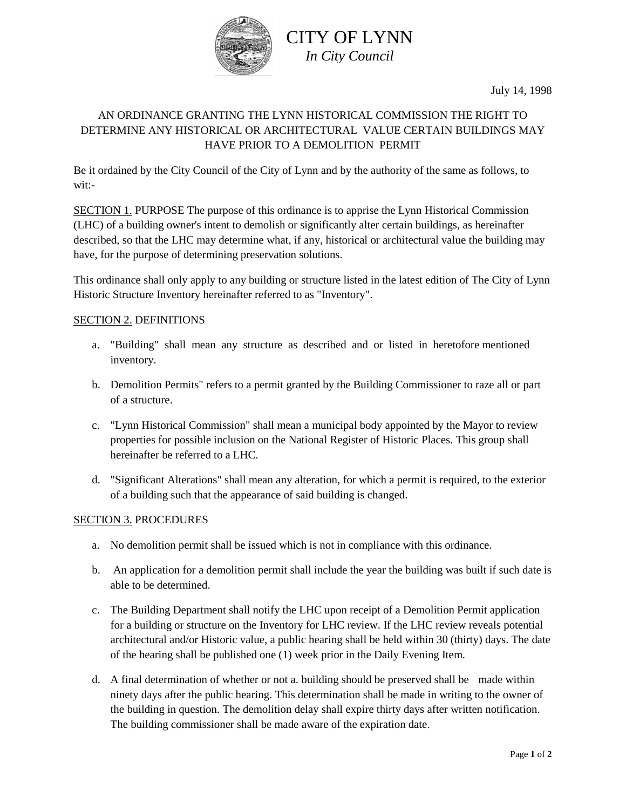

## CITY OF LYNN *In City Council*

### AN ORDINANCE GRANTING THE LYNN HISTORICAL COMMISSION THE RIGHT TO DETERMINE ANY HISTORICAL OR ARCHITECTURAL VALUE CERTAIN BUILDINGS MAY HAVE PRIOR TO A DEMOLITION PERMIT

Be it ordained by the City Council of the City of Lynn and by the authority of the same as follows, to wit:-

SECTION 1. PURPOSE The purpose of this ordinance is to apprise the Lynn Historical Commission (LHC) of a building owner's intent to demolish or significantly alter certain buildings, as hereinafter described, so that the LHC may determine what, if any, historical or architectural value the building may have, for the purpose of determining preservation solutions.

This ordinance shall only apply to any building or structure listed in the latest edition of The City of Lynn Historic Structure Inventory hereinafter referred to as "Inventory".

### SECTION 2. DEFINITIONS

- a. "Building" shall mean any structure as described and or listed in heretofore mentioned inventory.
- b. Demolition Permits" refers to a permit granted by the Building Commissioner to raze all or part of a structure.
- c. "Lynn Historical Commission" shall mean a municipal body appointed by the Mayor to review properties for possible inclusion on the National Register of Historic Places. This group shall hereinafter be referred to a LHC.
- d. "Significant Alterations" shall mean any alteration, for which a permit is required, to the exterior of a building such that the appearance of said building is changed.

#### SECTION 3. PROCEDURES

- a. No demolition permit shall be issued which is not in compliance with this ordinance.
- b. An application for a demolition permit shall include the year the building was built if such date is able to be determined.
- c. The Building Department shall notify the LHC upon receipt of a Demolition Permit application for a building or structure on the Inventory for LHC review. If the LHC review reveals potential architectural and/or Historic value, a public hearing shall be held within 30 (thirty) days. The date of the hearing shall be published one (1) week prior in the Daily Evening Item.
- d. A final determination of whether or not a. building should be preserved shall be made within ninety days after the public hearing. This determination shall be made in writing to the owner of the building in question. The demolition delay shall expire thirty days after written notification. The building commissioner shall be made aware of the expiration date.